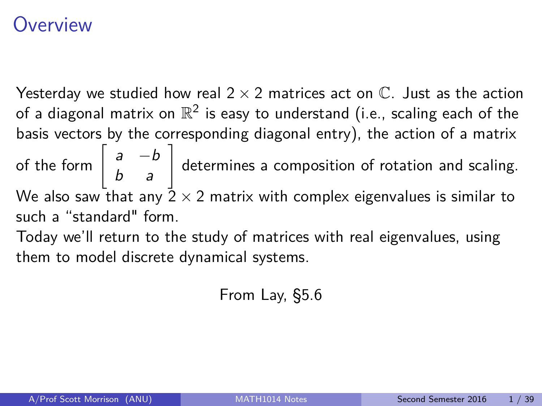## <span id="page-0-0"></span>Overview

Yesterday we studied how real  $2 \times 2$  matrices act on  $\mathbb{C}$ . Just as the action of a diagonal matrix on  $\mathbb{R}^2$  is easy to understand (i.e., scaling each of the basis vectors by the corresponding diagonal entry), the action of a matrix of the form  $\begin{bmatrix} a & -b \\ b & a \end{bmatrix}$  determines a composition of rotation and scaling. We also saw that any  $\frac{1}{2} \times 2$  matrix with complex eigenvalues is similar to such a "standard" form.

Today we'll return to the study of matrices with real eigenvalues, using them to model discrete dynamical systems.

From Lay, §5.6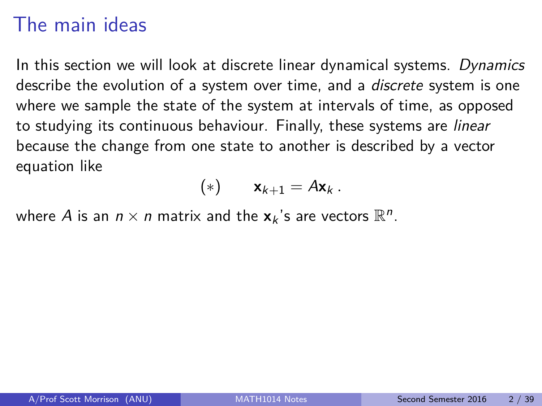# The main ideas

In this section we will look at discrete linear dynamical systems. Dynamics describe the evolution of a system over time, and a *discrete* system is one where we sample the state of the system at intervals of time, as opposed to studying its continuous behaviour. Finally, these systems are linear because the change from one state to another is described by a vector equation like

$$
(*) \qquad \mathbf{x}_{k+1} = A\mathbf{x}_k \,.
$$

where  $A$  is an  $n \times n$  matrix and the  $\mathbf{x}_k$ 's are vectors  $\mathbb{R}^n$ .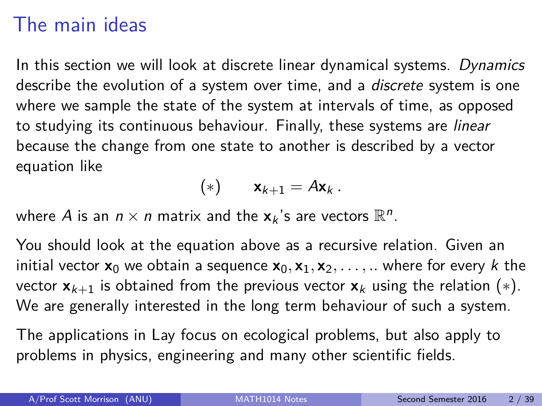# The main ideas

In this section we will look at discrete linear dynamical systems. Dynamics describe the evolution of a system over time, and a *discrete* system is one where we sample the state of the system at intervals of time, as opposed to studying its continuous behaviour. Finally, these systems are linear because the change from one state to another is described by a vector equation like

$$
(*) \qquad \mathbf{x}_{k+1} = A\mathbf{x}_k \,.
$$

where  $A$  is an  $n \times n$  matrix and the  $\mathbf{x}_k$ 's are vectors  $\mathbb{R}^n$ .

You should look at the equation above as a recursive relation. Given an initial vector  $\mathbf{x}_0$  we obtain a sequence  $\mathbf{x}_0, \mathbf{x}_1, \mathbf{x}_2, \ldots, \ldots$  where for every k the vector  $\mathbf{x}_{k+1}$  is obtained from the previous vector  $\mathbf{x}_k$  using the relation (\*). We are generally interested in the long term behaviour of such a system.

The applications in Lay focus on ecological problems, but also apply to problems in physics, engineering and many other scientific fields.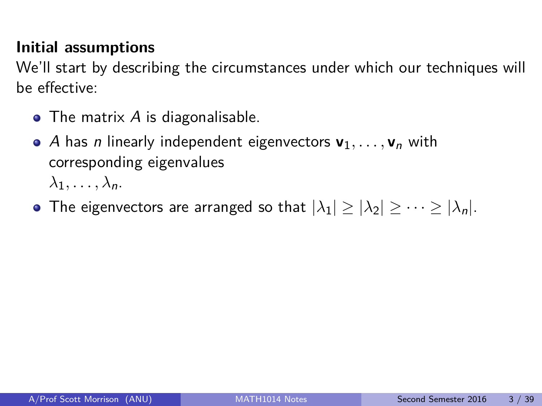#### **Initial assumptions**

We'll start by describing the circumstances under which our techniques will be effective:

- $\bullet$  The matrix A is diagonalisable.
- A has *n* linearly independent eigenvectors  $v_1, \ldots, v_n$  with corresponding eigenvalues  $\lambda_1, \ldots, \lambda_n$ .
- The eigenvectors are arranged so that  $|\lambda_1| \geq |\lambda_2| \geq \cdots \geq |\lambda_n|$ .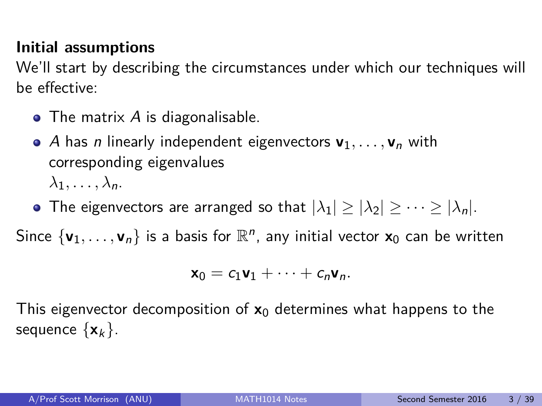#### **Initial assumptions**

We'll start by describing the circumstances under which our techniques will be effective:

- $\bullet$  The matrix A is diagonalisable.
- A has *n* linearly independent eigenvectors  $v_1, \ldots, v_n$  with corresponding eigenvalues  $\lambda_1, \ldots, \lambda_n$ .
- The eigenvectors are arranged so that  $|\lambda_1| \geq |\lambda_2| \geq \cdots \geq |\lambda_n|$ .

Since  $\{v_1, \ldots, v_n\}$  is a basis for  $\mathbb{R}^n$ , any initial vector  $\mathsf{x}_0$  can be written

$$
\mathbf{x}_0 = c_1 \mathbf{v}_1 + \cdots + c_n \mathbf{v}_n.
$$

This eigenvector decomposition of  $x_0$  determines what happens to the sequence  $\{x_k\}$ .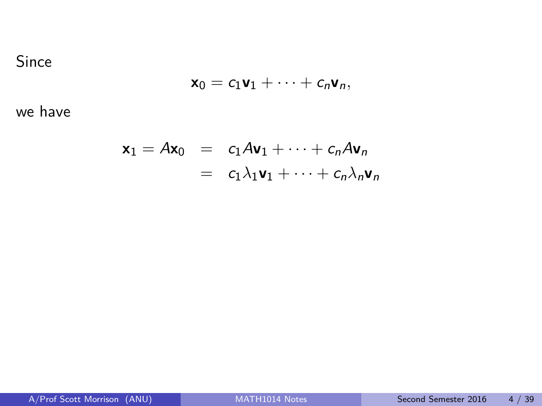#### Since

$$
\mathbf{x}_0 = c_1 \mathbf{v}_1 + \cdots + c_n \mathbf{v}_n,
$$

we have

$$
\mathbf{x}_1 = A\mathbf{x}_0 = c_1A\mathbf{v}_1 + \dots + c_nA\mathbf{v}_n
$$

$$
= c_1\lambda_1\mathbf{v}_1 + \dots + c_n\lambda_n\mathbf{v}_n
$$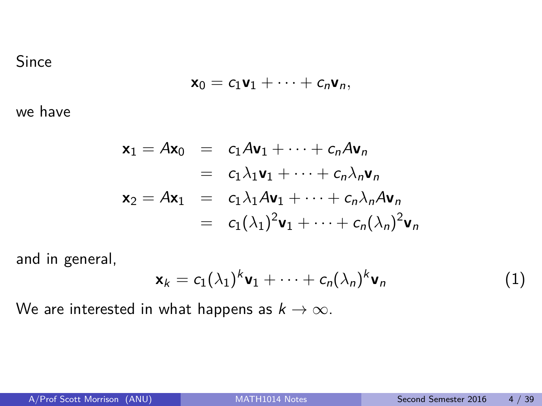#### Since

$$
\mathbf{x}_0 = c_1 \mathbf{v}_1 + \cdots + c_n \mathbf{v}_n,
$$

we have

$$
\mathbf{x}_1 = A\mathbf{x}_0 = c_1A\mathbf{v}_1 + \dots + c_nA\mathbf{v}_n
$$
  
\n
$$
= c_1\lambda_1\mathbf{v}_1 + \dots + c_n\lambda_n\mathbf{v}_n
$$
  
\n
$$
\mathbf{x}_2 = A\mathbf{x}_1 = c_1\lambda_1A\mathbf{v}_1 + \dots + c_n\lambda_nA\mathbf{v}_n
$$
  
\n
$$
= c_1(\lambda_1)^2\mathbf{v}_1 + \dots + c_n(\lambda_n)^2\mathbf{v}_n
$$

and in general,

$$
\mathbf{x}_k = c_1(\lambda_1)^k \mathbf{v}_1 + \dots + c_n(\lambda_n)^k \mathbf{v}_n \tag{1}
$$

We are interested in what happens as  $k \to \infty$ .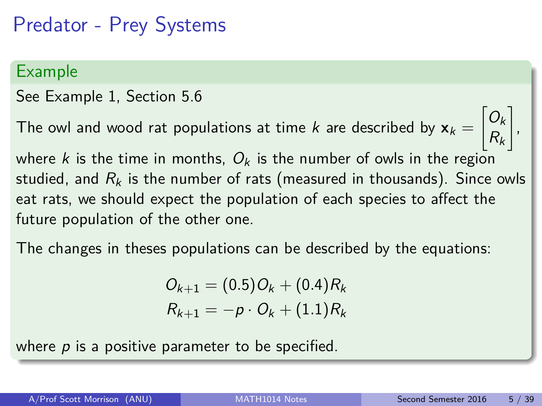Predator - Prey Systems

#### Example

See Example 1, Section 5.6

The owl and wood rat populations at time  $k$  are described by  $\mathbf{x}_k =$  $\bigg[O_k$  $R_k$ 1 ,

where k is the time in months,  $O_k$  is the number of owls in the region studied, and  $R_k$  is the number of rats (measured in thousands). Since owls eat rats, we should expect the population of each species to affect the future population of the other one.

The changes in theses populations can be described by the equations:

 $Q_{k+1} = (0.5)Q_k + (0.4)R_k$  $R_{k+1} = -p \cdot Q_k + (1.1)R_k$ 

where  $p$  is a positive parameter to be specified.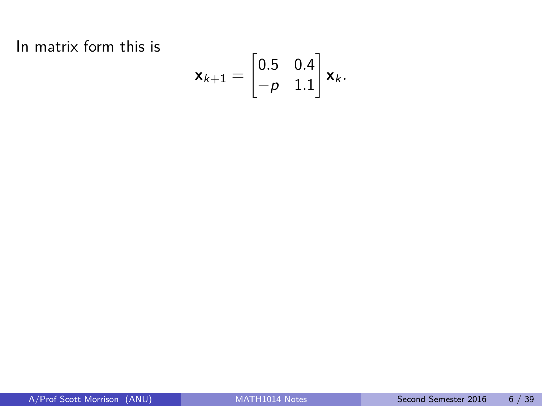In matrix form this is

$$
\mathbf{x}_{k+1} = \begin{bmatrix} 0.5 & 0.4 \\ -p & 1.1 \end{bmatrix} \mathbf{x}_k.
$$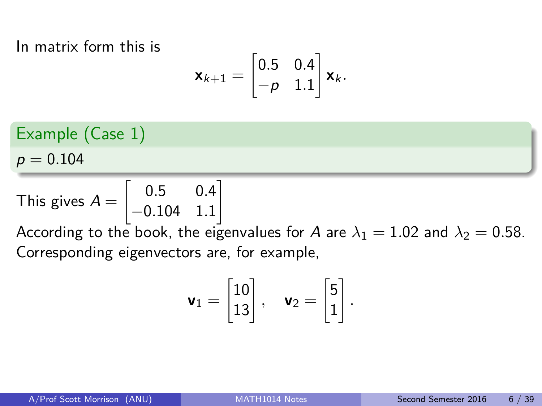In matrix form this is

$$
\mathbf{x}_{k+1} = \begin{bmatrix} 0.5 & 0.4 \\ -p & 1.1 \end{bmatrix} \mathbf{x}_k.
$$

Example (Case 1)

 $p = 0.104$ 

This gives 
$$
A = \begin{bmatrix} 0.5 & 0.4 \\ -0.104 & 1.1 \end{bmatrix}
$$

According to the book, the eigenvalues for A are  $\lambda_1 = 1.02$  and  $\lambda_2 = 0.58$ . Corresponding eigenvectors are, for example,

$$
\mathbf{v}_1 = \begin{bmatrix} 10 \\ 13 \end{bmatrix}, \quad \mathbf{v}_2 = \begin{bmatrix} 5 \\ 1 \end{bmatrix}.
$$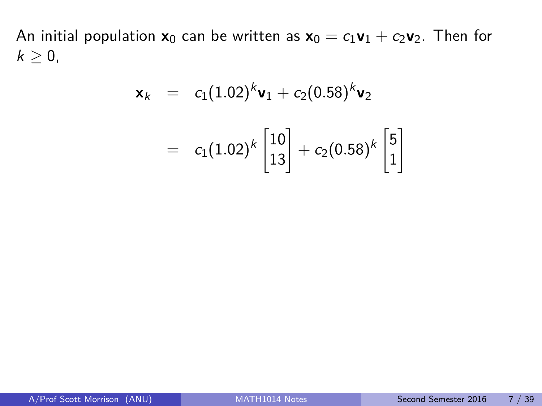An initial population  $x_0$  can be written as  $x_0 = c_1v_1 + c_2v_2$ . Then for  $k\geq 0$ ,

$$
\mathbf{x}_{k} = c_{1}(1.02)^{k}\mathbf{v}_{1} + c_{2}(0.58)^{k}\mathbf{v}_{2}
$$

$$
= c_{1}(1.02)^{k}\begin{bmatrix}10\\13\end{bmatrix} + c_{2}(0.58)^{k}\begin{bmatrix}5\\1\end{bmatrix}
$$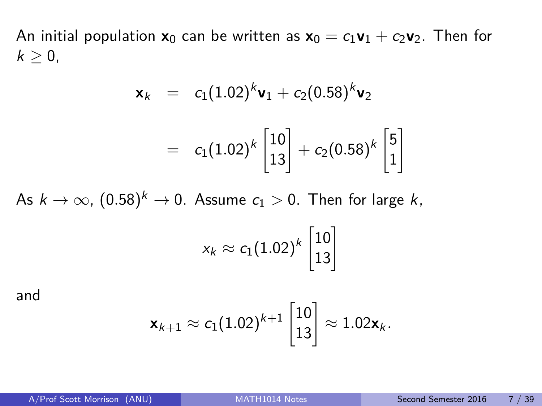An initial population  $x_0$  can be written as  $x_0 = c_1v_1 + c_2v_2$ . Then for  $k \geq 0$ ,

$$
\mathbf{x}_{k} = c_{1}(1.02)^{k}\mathbf{v}_{1} + c_{2}(0.58)^{k}\mathbf{v}_{2}
$$

$$
= c_{1}(1.02)^{k} \begin{bmatrix} 10 \\ 13 \end{bmatrix} + c_{2}(0.58)^{k} \begin{bmatrix} 5 \\ 1 \end{bmatrix}
$$

As  $k\to\infty$ ,  $(0.58)^k\to 0.$  Assume  $c_1>0.$  Then for large  $k,$ 

$$
x_k \approx c_1(1.02)^k \begin{bmatrix} 10\\13 \end{bmatrix}
$$

and

$$
\mathbf{x}_{k+1} \approx c_1(1.02)^{k+1}\begin{bmatrix}10\\13\end{bmatrix} \approx 1.02\mathbf{x}_k.
$$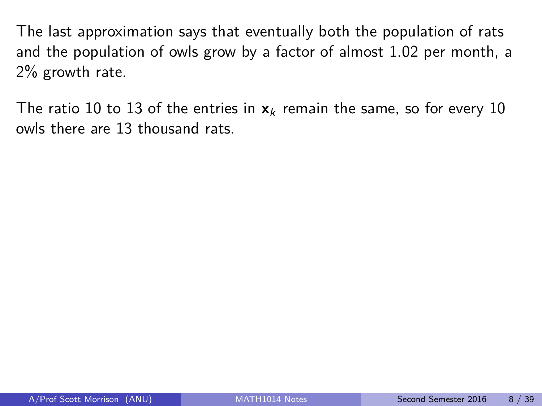The last approximation says that eventually both the population of rats and the population of owls grow by a factor of almost 1.02 per month, a 2% growth rate.

The ratio 10 to 13 of the entries in  $x_k$  remain the same, so for every 10 owls there are 13 thousand rats.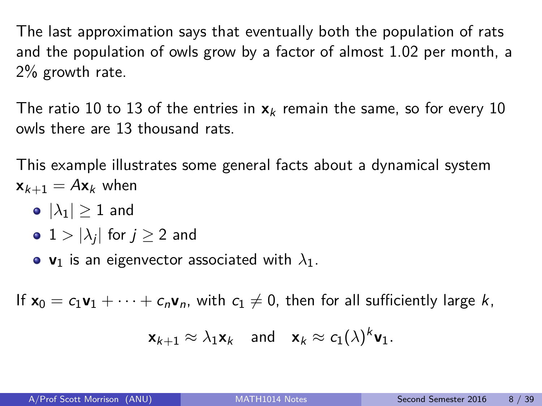The last approximation says that eventually both the population of rats and the population of owls grow by a factor of almost 1.02 per month, a 2% growth rate.

The ratio 10 to 13 of the entries in  $x_k$  remain the same, so for every 10 owls there are 13 thousand rats.

This example illustrates some general facts about a dynamical system  $\mathbf{x}_{k+1} = A\mathbf{x}_k$  when

- $\bullet$   $|\lambda_1| > 1$  and
- $1 > |\lambda_j|$  for  $j \geq 2$  and
- $v_1$  is an eigenvector associated with  $\lambda_1$ .

If  $x_0 = c_1v_1 + \cdots + c_nv_n$ , with  $c_1 \neq 0$ , then for all sufficiently large k,

$$
\mathbf{x}_{k+1} \approx \lambda_1 \mathbf{x}_k \quad \text{and} \quad \mathbf{x}_k \approx c_1(\lambda)^k \mathbf{v}_1.
$$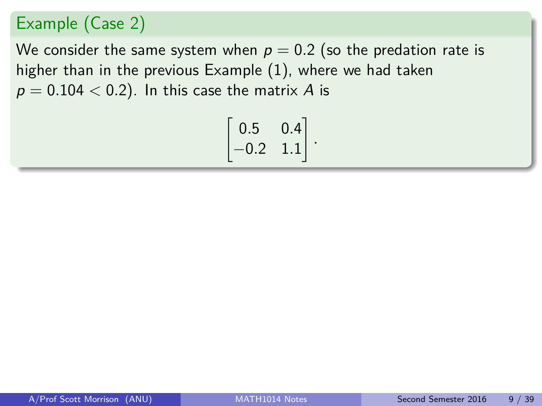### Example (Case 2)

We consider the same system when  $p = 0.2$  (so the predation rate is higher than in the previous Example (1), where we had taken  $p = 0.104 < 0.2$ ). In this case the matrix A is

$$
\begin{bmatrix} 0.5 & 0.4 \\ -0.2 & 1.1 \end{bmatrix}.
$$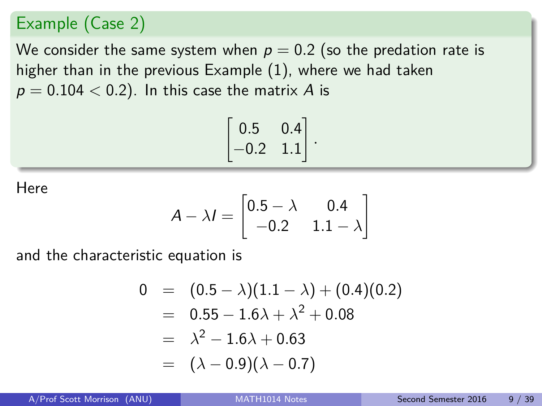### Example (Case 2)

We consider the same system when  $p = 0.2$  (so the predation rate is higher than in the previous Example (1), where we had taken  $p = 0.104 < 0.2$ ). In this case the matrix A is

$$
\begin{bmatrix} 0.5 & 0.4 \\ -0.2 & 1.1 \end{bmatrix}.
$$

**Here** 

$$
A - \lambda I = \begin{bmatrix} 0.5 - \lambda & 0.4 \\ -0.2 & 1.1 - \lambda \end{bmatrix}
$$

and the characteristic equation is

$$
0 = (0.5 - \lambda)(1.1 - \lambda) + (0.4)(0.2)
$$
  
= 0.55 - 1.6\lambda + \lambda<sup>2</sup> + 0.08  
= \lambda<sup>2</sup> - 1.6\lambda + 0.63  
= (\lambda - 0.9)(\lambda - 0.7)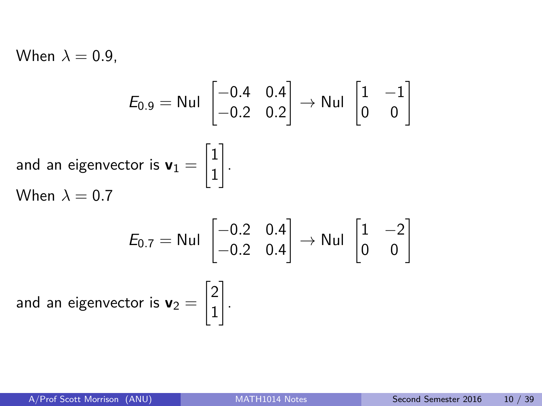When  $\lambda = 0.9$ ,

$$
E_{0.9} = \text{Nul} \begin{bmatrix} -0.4 & 0.4 \\ -0.2 & 0.2 \end{bmatrix} \rightarrow \text{Nul} \begin{bmatrix} 1 & -1 \\ 0 & 0 \end{bmatrix}
$$
  
and an eigenvector is  $\mathbf{v}_1 = \begin{bmatrix} 1 \\ 1 \end{bmatrix}$ .  
When  $\lambda = 0.7$ 

$$
E_{0.7} = \text{Nul} \begin{bmatrix} -0.2 & 0.4 \\ -0.2 & 0.4 \end{bmatrix} \rightarrow \text{Nul} \begin{bmatrix} 1 & -2 \\ 0 & 0 \end{bmatrix}
$$
  
and an eigenvector is  $\mathbf{v}_2 = \begin{bmatrix} 2 \\ 1 \end{bmatrix}$ .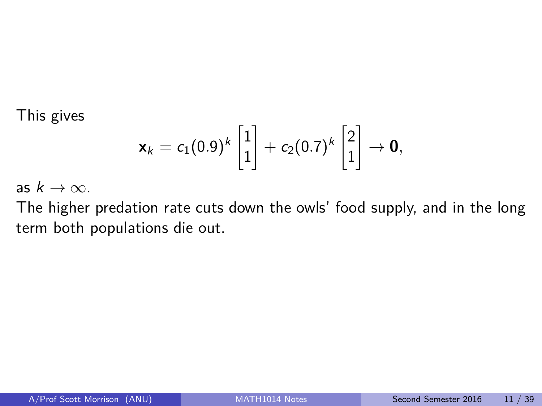This gives

$$
\textbf{x}_k = c_1(0.9)^k \begin{bmatrix} 1 \\ 1 \end{bmatrix} + c_2(0.7)^k \begin{bmatrix} 2 \\ 1 \end{bmatrix} \rightarrow \textbf{0},
$$

as  $k \to \infty$ .

The higher predation rate cuts down the owls' food supply, and in the long term both populations die out.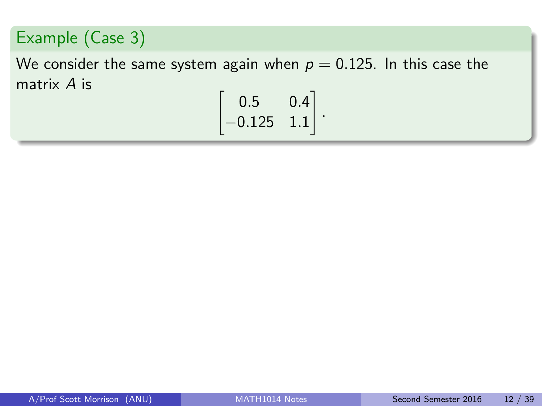## Example (Case 3)

We consider the same system again when  $p = 0.125$ . In this case the matrix A is

$$
\begin{bmatrix} 0.5 & 0.4 \\ -0.125 & 1.1 \end{bmatrix}
$$

*.*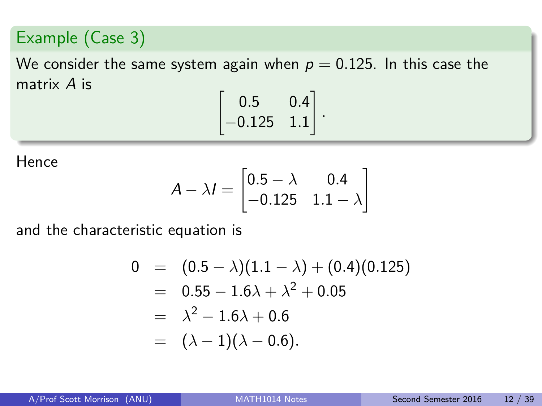### Example (Case 3)

We consider the same system again when  $p = 0.125$ . In this case the matrix A is

$$
\begin{bmatrix} 0.5 & 0.4 \\ -0.125 & 1.1 \end{bmatrix}
$$

*.*

Hence

$$
A - \lambda I = \begin{bmatrix} 0.5 - \lambda & 0.4 \\ -0.125 & 1.1 - \lambda \end{bmatrix}
$$

and the characteristic equation is

$$
0 = (0.5 - \lambda)(1.1 - \lambda) + (0.4)(0.125)
$$
  
= 0.55 - 1.6 $\lambda$  +  $\lambda^2$  + 0.05  
=  $\lambda^2$  - 1.6 $\lambda$  + 0.6  
=  $(\lambda - 1)(\lambda - 0.6)$ .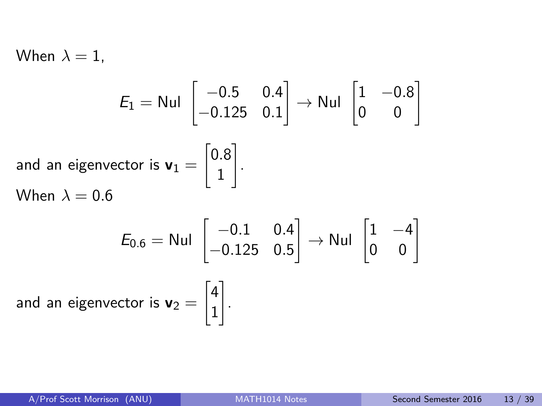When  $\lambda = 1$ ,

$$
E_1 = \text{Nul} \begin{bmatrix} -0.5 & 0.4 \\ -0.125 & 0.1 \end{bmatrix} \rightarrow \text{Nul} \begin{bmatrix} 1 & -0.8 \\ 0 & 0 \end{bmatrix}
$$
  
and an eigenvector is  $\mathbf{v}_1 = \begin{bmatrix} 0.8 \\ 1 \end{bmatrix}$ .  
When  $\lambda = 0.6$   
 $E_{0.6} = \text{Nul} \begin{bmatrix} -0.1 & 0.4 \\ -0.125 & 0.5 \end{bmatrix} \rightarrow \text{Nul} \begin{bmatrix} 1 & -4 \\ 0 & 0 \end{bmatrix}$ 

.

and an eigenvector is  $\mathbf{v}_2 =$  $\lceil 4 \rceil$ 1 1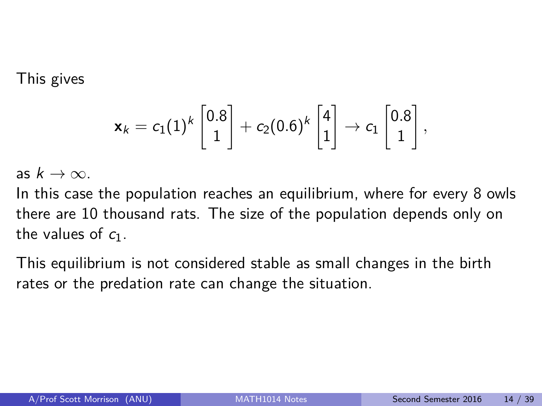This gives

$$
\textbf{x}_k=c_1(1)^k\begin{bmatrix}0.8\\1\end{bmatrix}+c_2(0.6)^k\begin{bmatrix}4\\1\end{bmatrix}\rightarrow c_1\begin{bmatrix}0.8\\1\end{bmatrix},
$$

as  $k \to \infty$ .

In this case the population reaches an equilibrium, where for every 8 owls there are 10 thousand rats. The size of the population depends only on the values of  $c_1$ .

This equilibrium is not considered stable as small changes in the birth rates or the predation rate can change the situation.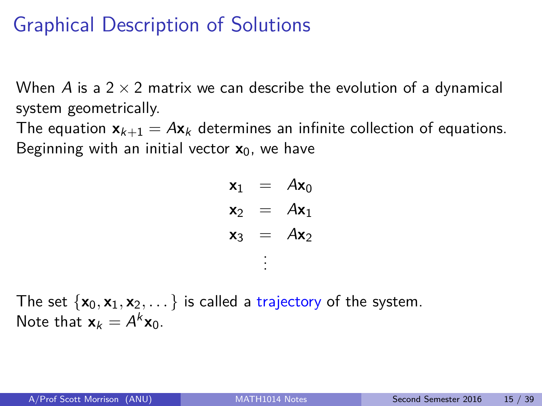# Graphical Description of Solutions

When A is a  $2 \times 2$  matrix we can describe the evolution of a dynamical system geometrically.

The equation  $\mathbf{x}_{k+1} = A\mathbf{x}_k$  determines an infinite collection of equations. Beginning with an initial vector  $x_0$ , we have

| $x_1$ |        | $Ax_0$ |
|-------|--------|--------|
| $x_2$ |        | $Ax_1$ |
| $x_3$ | $\sim$ | $Ax_2$ |
|       |        |        |

The set  $\{x_0, x_1, x_2, \dots\}$  is called a trajectory of the system. Note that  $\mathbf{x}_k = A^k \mathbf{x}_0$ .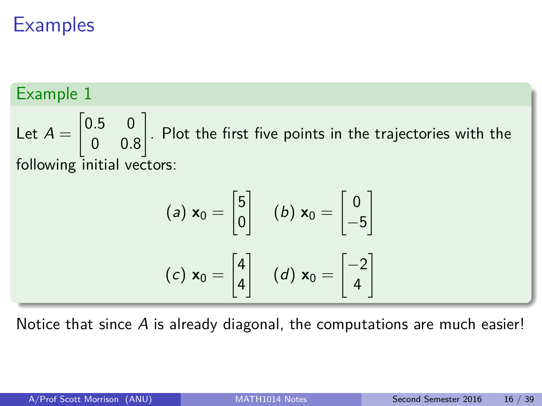### Example 1

Let  $A =$  $\begin{bmatrix} 0.5 & 0 \end{bmatrix}$ 0 0*.*8 1 . Plot the first five points in the trajectories with the following initial vectors:

$$
(a) \mathbf{x}_0 = \begin{bmatrix} 5 \\ 0 \end{bmatrix} \quad (b) \mathbf{x}_0 = \begin{bmatrix} 0 \\ -5 \end{bmatrix}
$$

$$
(c) \mathbf{x}_0 = \begin{bmatrix} 4 \\ 4 \end{bmatrix} \quad (d) \mathbf{x}_0 = \begin{bmatrix} -2 \\ 4 \end{bmatrix}
$$

Notice that since  $\overline{A}$  is already diagonal, the computations are much easier!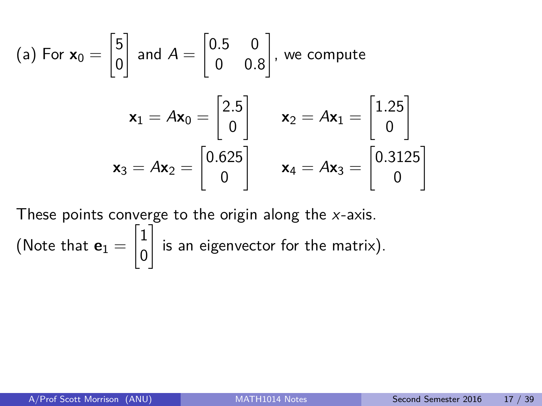(a) For 
$$
\mathbf{x}_0 = \begin{bmatrix} 5 \\ 0 \end{bmatrix}
$$
 and  $A = \begin{bmatrix} 0.5 & 0 \\ 0 & 0.8 \end{bmatrix}$ , we compute  
\n
$$
\mathbf{x}_1 = A\mathbf{x}_0 = \begin{bmatrix} 2.5 \\ 0 \end{bmatrix} \qquad \mathbf{x}_2 = A\mathbf{x}_1 = \begin{bmatrix} 1.25 \\ 0 \end{bmatrix}
$$
\n
$$
\mathbf{x}_3 = A\mathbf{x}_2 = \begin{bmatrix} 0.625 \\ 0 \end{bmatrix} \qquad \mathbf{x}_4 = A\mathbf{x}_3 = \begin{bmatrix} 0.3125 \\ 0 \end{bmatrix}
$$

These points converge to the origin along the  $x$ -axis. (Note that  ${\bf e}_1=$  $\lceil 1 \rceil$ 0 1 is an eigenvector for the matrix).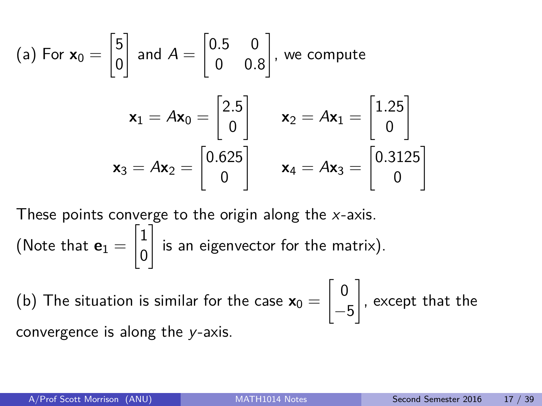(a) For 
$$
\mathbf{x}_0 = \begin{bmatrix} 5 \\ 0 \end{bmatrix}
$$
 and  $A = \begin{bmatrix} 0.5 & 0 \\ 0 & 0.8 \end{bmatrix}$ , we compute  
\n
$$
\mathbf{x}_1 = A\mathbf{x}_0 = \begin{bmatrix} 2.5 \\ 0 \end{bmatrix} \qquad \mathbf{x}_2 = A\mathbf{x}_1 = \begin{bmatrix} 1.25 \\ 0 \end{bmatrix}
$$
\n
$$
\mathbf{x}_3 = A\mathbf{x}_2 = \begin{bmatrix} 0.625 \\ 0 \end{bmatrix} \qquad \mathbf{x}_4 = A\mathbf{x}_3 = \begin{bmatrix} 0.3125 \\ 0 \end{bmatrix}
$$

These points converge to the origin along the  $x$ -axis. (Note that  ${\bf e}_1=$  $\lceil 1 \rceil$ 0 1 is an eigenvector for the matrix).

(b) The situation is similar for the case  $\mathsf{x}_0 =$  $\lceil 0$ −5 1 , except that the convergence is along the y-axis.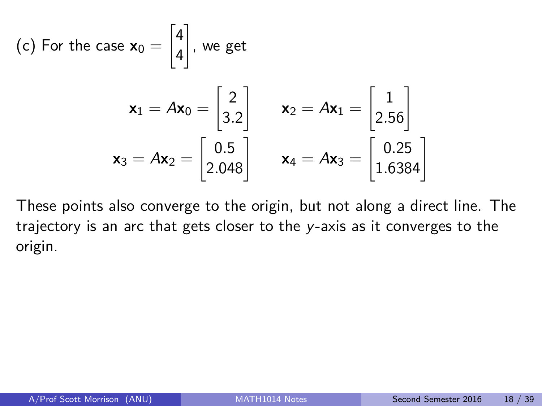(c) For the case 
$$
\mathbf{x}_0 = \begin{bmatrix} 4 \\ 4 \end{bmatrix}
$$
, we get  
\n
$$
\mathbf{x}_1 = A\mathbf{x}_0 = \begin{bmatrix} 2 \\ 3.2 \end{bmatrix} \qquad \mathbf{x}_2 = A\mathbf{x}_1 = \begin{bmatrix} 1 \\ 2.56 \end{bmatrix}
$$
\n
$$
\mathbf{x}_3 = A\mathbf{x}_2 = \begin{bmatrix} 0.5 \\ 2.048 \end{bmatrix} \qquad \mathbf{x}_4 = A\mathbf{x}_3 = \begin{bmatrix} 0.25 \\ 1.6384 \end{bmatrix}
$$

These points also converge to the origin, but not along a direct line. The trajectory is an arc that gets closer to the y-axis as it converges to the origin.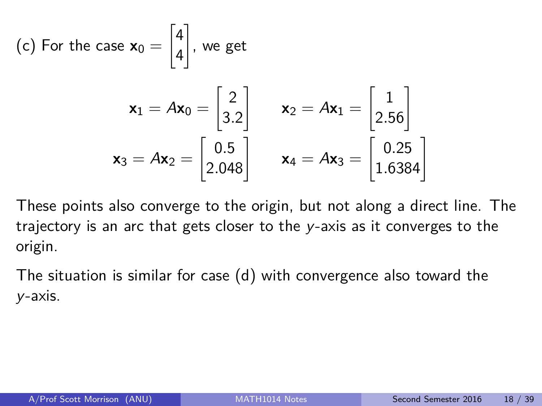(c) For the case 
$$
\mathbf{x}_0 = \begin{bmatrix} 4 \\ 4 \end{bmatrix}
$$
, we get  
\n
$$
\mathbf{x}_1 = A\mathbf{x}_0 = \begin{bmatrix} 2 \\ 3.2 \end{bmatrix} \qquad \mathbf{x}_2 = A\mathbf{x}_1 = \begin{bmatrix} 1 \\ 2.56 \end{bmatrix}
$$
\n
$$
\mathbf{x}_3 = A\mathbf{x}_2 = \begin{bmatrix} 0.5 \\ 2.048 \end{bmatrix} \qquad \mathbf{x}_4 = A\mathbf{x}_3 = \begin{bmatrix} 0.25 \\ 1.6384 \end{bmatrix}
$$

These points also converge to the origin, but not along a direct line. The trajectory is an arc that gets closer to the y-axis as it converges to the origin.

The situation is similar for case (d) with convergence also toward the y-axis.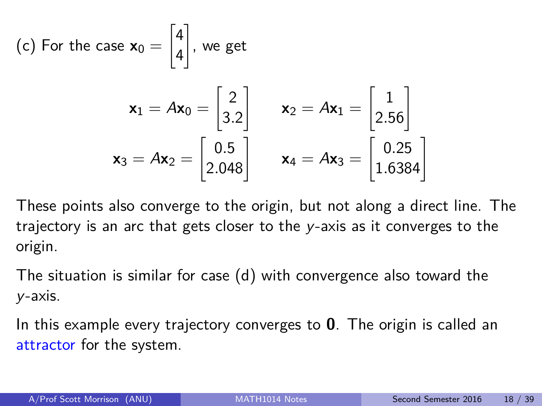(c) For the case 
$$
\mathbf{x}_0 = \begin{bmatrix} 4 \\ 4 \end{bmatrix}
$$
, we get  
\n
$$
\mathbf{x}_1 = A\mathbf{x}_0 = \begin{bmatrix} 2 \\ 3.2 \end{bmatrix} \qquad \mathbf{x}_2 = A\mathbf{x}_1 = \begin{bmatrix} 1 \\ 2.56 \end{bmatrix}
$$
\n
$$
\mathbf{x}_3 = A\mathbf{x}_2 = \begin{bmatrix} 0.5 \\ 2.048 \end{bmatrix} \qquad \mathbf{x}_4 = A\mathbf{x}_3 = \begin{bmatrix} 0.25 \\ 1.6384 \end{bmatrix}
$$

These points also converge to the origin, but not along a direct line. The trajectory is an arc that gets closer to the y-axis as it converges to the origin.

The situation is similar for case (d) with convergence also toward the y-axis.

In this example every trajectory converges to **0**. The origin is called an attractor for the system.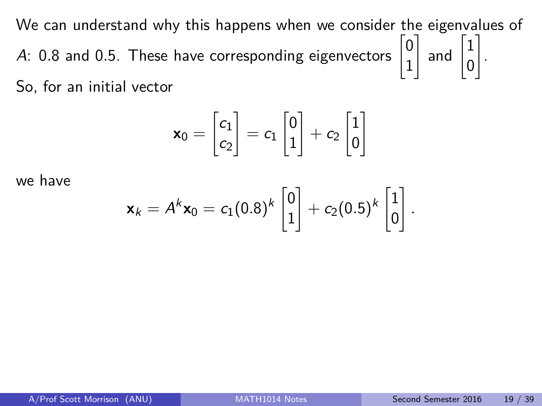We can understand why this happens when we consider the eigenvalues of A: 0.8 and 0.5. These have corresponding eigenvectors  $\begin{bmatrix} 0 & 0 \\ 0 & 1 \end{bmatrix}$ 1  $\Big]$  and  $\Big[ \frac{1}{2}$ 0 1 . So, for an initial vector

$$
\mathbf{x}_0 = \begin{bmatrix} c_1 \\ c_2 \end{bmatrix} = c_1 \begin{bmatrix} 0 \\ 1 \end{bmatrix} + c_2 \begin{bmatrix} 1 \\ 0 \end{bmatrix}
$$

we have

$$
\mathbf{x}_k = A^k \mathbf{x}_0 = c_1 (0.8)^k \begin{bmatrix} 0 \\ 1 \end{bmatrix} + c_2 (0.5)^k \begin{bmatrix} 1 \\ 0 \end{bmatrix}.
$$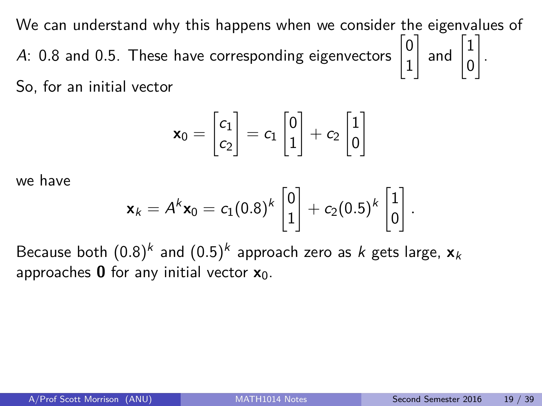We can understand why this happens when we consider the eigenvalues of A: 0.8 and 0.5. These have corresponding eigenvectors  $\begin{bmatrix} 0 & 0 \\ 0 & 1 \end{bmatrix}$ 1  $\Big]$  and  $\Big[ \frac{1}{2}$ 0 1 . So, for an initial vector

$$
\mathbf{x}_0 = \begin{bmatrix} c_1 \\ c_2 \end{bmatrix} = c_1 \begin{bmatrix} 0 \\ 1 \end{bmatrix} + c_2 \begin{bmatrix} 1 \\ 0 \end{bmatrix}
$$

we have

$$
\mathbf{x}_k = A^k \mathbf{x}_0 = c_1 (0.8)^k \begin{bmatrix} 0 \\ 1 \end{bmatrix} + c_2 (0.5)^k \begin{bmatrix} 1 \\ 0 \end{bmatrix}.
$$

Because both  $(0.8)^k$  and  $(0.5)^k$  approach zero as  $k$  gets large,  $\mathbf{x}_k$ approaches **0** for any initial vector **x**0.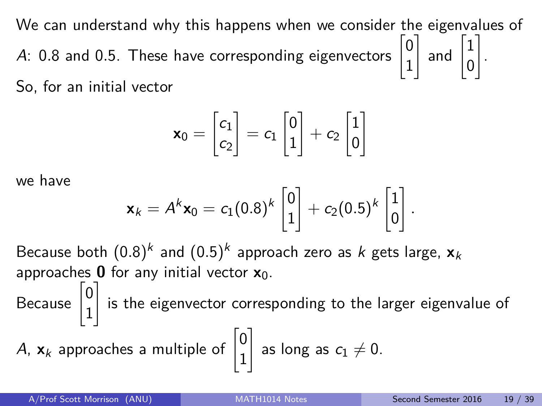We can understand why this happens when we consider the eigenvalues of A: 0.8 and 0.5. These have corresponding eigenvectors  $\begin{bmatrix} 0 & 0 \\ 0 & 1 \end{bmatrix}$ 1  $\Big]$  and  $\Big[ \frac{1}{2}$ 0 1 . So, for an initial vector

$$
\mathbf{x}_0 = \begin{bmatrix} c_1 \\ c_2 \end{bmatrix} = c_1 \begin{bmatrix} 0 \\ 1 \end{bmatrix} + c_2 \begin{bmatrix} 1 \\ 0 \end{bmatrix}
$$

we have

$$
\mathbf{x}_k = A^k \mathbf{x}_0 = c_1 (0.8)^k \begin{bmatrix} 0 \\ 1 \end{bmatrix} + c_2 (0.5)^k \begin{bmatrix} 1 \\ 0 \end{bmatrix}.
$$

Because both  $(0.8)^k$  and  $(0.5)^k$  approach zero as  $k$  gets large,  $\mathbf{x}_k$ approaches **0** for any initial vector **x**0.

Because  $\begin{bmatrix} 0 \\ 1 \end{bmatrix}$ 1 1 is the eigenvector corresponding to the larger eigenvalue of

A, 
$$
\mathbf{x}_k
$$
 approaches a multiple of  $\begin{bmatrix} 0 \\ 1 \end{bmatrix}$  as long as  $c_1 \neq 0$ .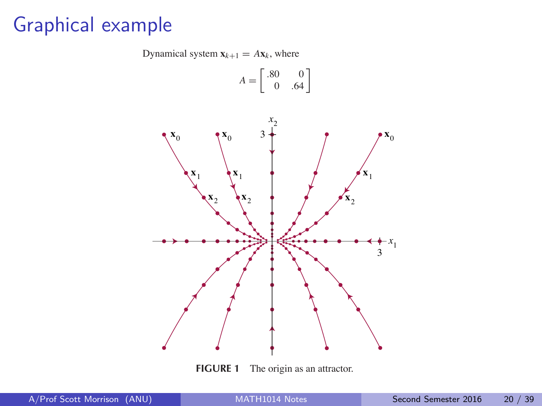# Graphical example

Dynamical system  $\mathbf{x}_{k+1} = A\mathbf{x}_k$ , where

$$
A = \begin{bmatrix} .80 & 0 \\ 0 & .64 \end{bmatrix}
$$



**FIGURE 1** The origin as an attractor.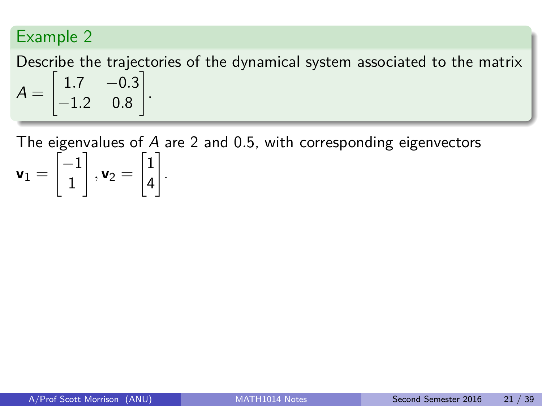Describe the trajectories of the dynamical system associated to the matrix  $A =$  $\begin{bmatrix} 1.7 & -0.3 \end{bmatrix}$ −1*.*2 0*.*8 1 .

The eigenvalues of A are 2 and 0*.*5, with corresponding eigenvectors  $\mathbf{v}_1 =$  $\left[-1\right]$ 1 1  $, v_2 =$  $\sqrt{1}$ 4 1 .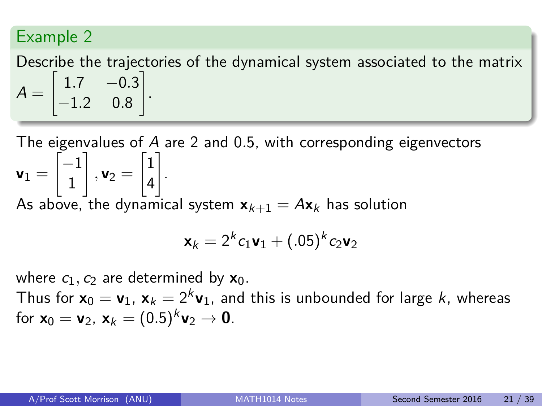Describe the trajectories of the dynamical system associated to the matrix  $A =$  $\begin{bmatrix} 1.7 & -0.3 \end{bmatrix}$ −1*.*2 0*.*8 1 .

The eigenvalues of A are 2 and 0*.*5, with corresponding eigenvectors  $\mathbf{v}_1 =$  $\left[-1\right]$ 1 1  $, v_2 =$  $\sqrt{1}$ 4 1 . As above, the dynamical system  $x_{k+1} = Ax_k$  has solution

$$
\mathbf{x}_k = 2^k c_1 \mathbf{v}_1 + (.05)^k c_2 \mathbf{v}_2
$$

where  $c_1$ ,  $c_2$  are determined by  $\mathbf{x}_0$ .

Thus for  $\mathbf{x}_0 = \mathbf{v}_1$ ,  $\mathbf{x}_k = 2^k \mathbf{v}_1$ , and this is unbounded for large  $k$ , whereas for  $\mathbf{x}_0 = \mathbf{v}_2$ ,  $\mathbf{x}_k = (0.5)^k \mathbf{v}_2 \to \mathbf{0}$ .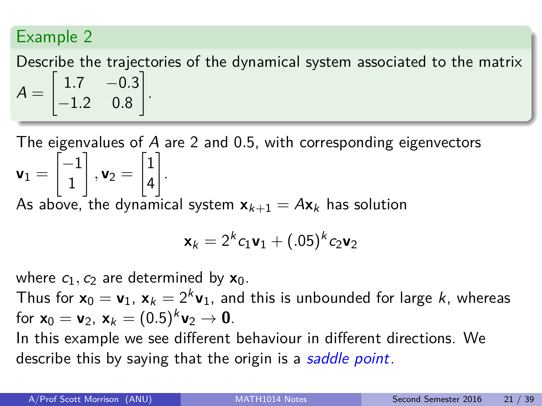Describe the trajectories of the dynamical system associated to the matrix  $A =$  $\begin{bmatrix} 1.7 & -0.3 \end{bmatrix}$ −1*.*2 0*.*8 1 .

The eigenvalues of A are 2 and 0*.*5, with corresponding eigenvectors  $\mathbf{v}_1 =$  $\left[-1\right]$ 1 1  $, v_2 =$  $\sqrt{1}$ 4 1 . As above, the dynamical system  $x_{k+1} = Ax_k$  has solution

$$
\mathbf{x}_k = 2^k c_1 \mathbf{v}_1 + (.05)^k c_2 \mathbf{v}_2
$$

where  $c_1$ ,  $c_2$  are determined by  $\mathbf{x}_0$ .

Thus for  $\mathbf{x}_0 = \mathbf{v}_1$ ,  $\mathbf{x}_k = 2^k \mathbf{v}_1$ , and this is unbounded for large  $k$ , whereas for  $\mathbf{x}_0 = \mathbf{v}_2$ ,  $\mathbf{x}_k = (0.5)^k \mathbf{v}_2 \to \mathbf{0}$ .

In this example we see different behaviour in different directions. We describe this by saying that the origin is a saddle point.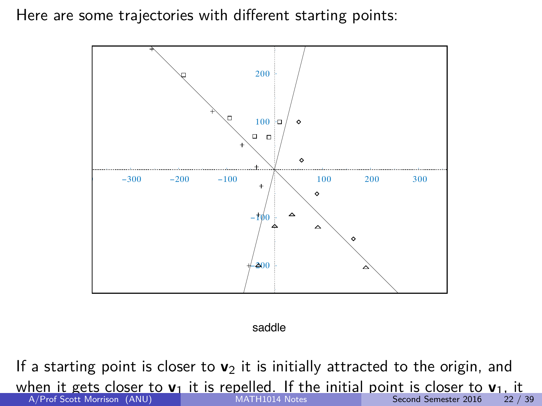Here are some trajectories with different starting points:



saddle

If a starting point is closer to  $v_2$  it is initially attracted to the origin, and when it gets closer to  $\mathbf{v}_1$  it is repelled. If the initial point is closer to  $\mathbf{v}_1$ , it<br>A/Prof Scott Morrison (ANU)<br>22/39 is repeat of A/Prof Scott Morrison (ANU) [MATH1014 Notes](#page-0-0) Second Semester 2016 22 / 39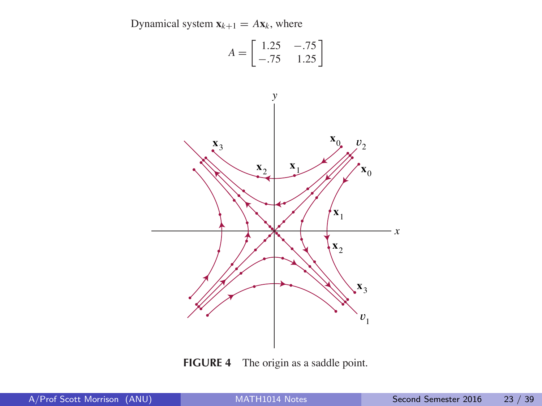

**FIGURE 4** The origin as a saddle point.

MATH1014 Notes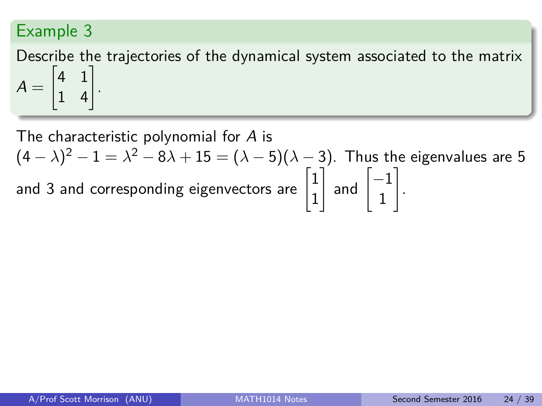Describe the trajectories of the dynamical system associated to the matrix  $A =$  $\begin{bmatrix} 4 & 1 \\ 1 & 4 \end{bmatrix}$ .

The characteristic polynomial for A is  $(4 - \lambda)^2 - 1 = \lambda^2 - 8\lambda + 15 = (\lambda - 5)(\lambda - 3)$ . Thus the eigenvalues are 5 and 3 and corresponding eigenvectors are  $\begin{bmatrix} 1 \\ 1 \end{bmatrix}$ 1  $\Big]$  and  $\Big[ \frac{-1}{1} \Big]$ 1 1 .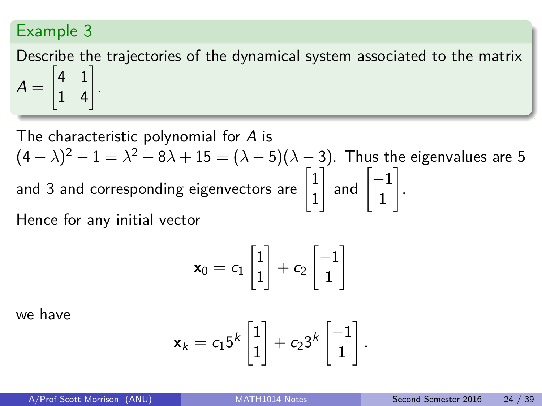Describe the trajectories of the dynamical system associated to the matrix  $A =$  $\begin{bmatrix} 4 & 1 \\ 1 & 4 \end{bmatrix}$ .

The characteristic polynomial for A is  $(4 - \lambda)^2 - 1 = \lambda^2 - 8\lambda + 15 = (\lambda - 5)(\lambda - 3)$ . Thus the eigenvalues are 5 and 3 and corresponding eigenvectors are  $\begin{bmatrix} 1 \\ 1 \end{bmatrix}$ 1  $\Big]$  and  $\Big[ \frac{-1}{1} \Big]$ 1 1 . Hence for any initial vector

$$
\mathbf{x}_0 = c_1 \begin{bmatrix} 1 \\ 1 \end{bmatrix} + c_2 \begin{bmatrix} -1 \\ 1 \end{bmatrix}
$$

we have

$$
\mathbf{x}_k = c_1 5^k \begin{bmatrix} 1 \\ 1 \end{bmatrix} + c_2 3^k \begin{bmatrix} -1 \\ 1 \end{bmatrix}.
$$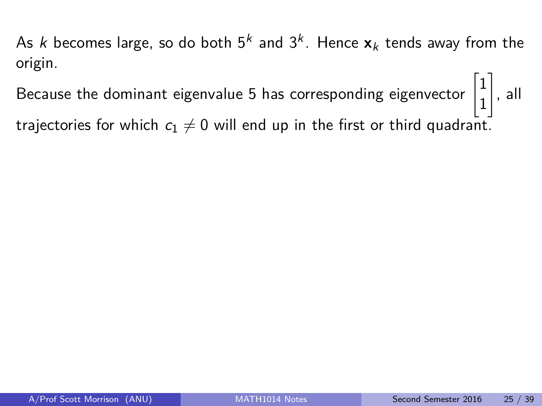Because the dominant eigenvalue 5 has corresponding eigenvector  $\begin{bmatrix} 1 & 1 \\ 1 & 1 \end{bmatrix}$ 

1 trajectories for which  $c_1 \neq 0$  will end up in the first or third quadrant.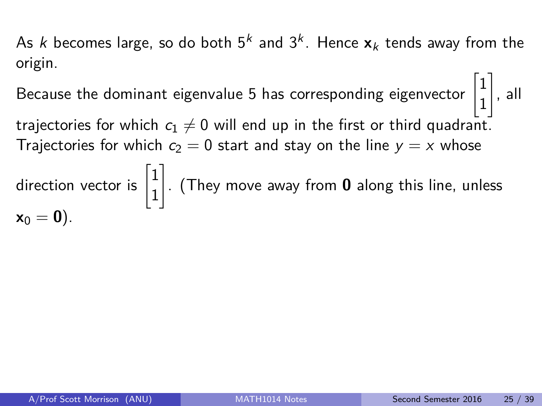Because the dominant eigenvalue 5 has corresponding eigenvector  $\begin{bmatrix} 1 & 1 \\ 1 & 1 \end{bmatrix}$ 1

trajectories for which  $c_1 \neq 0$  will end up in the first or third quadrant. Trajectories for which  $c_2 = 0$  start and stay on the line  $y = x$  whose

direction vector is  $\begin{bmatrix} 1 \\ 1 \end{bmatrix}$ 1 1 . (They move away from **0** along this line, unless  $x_0 = 0$ ).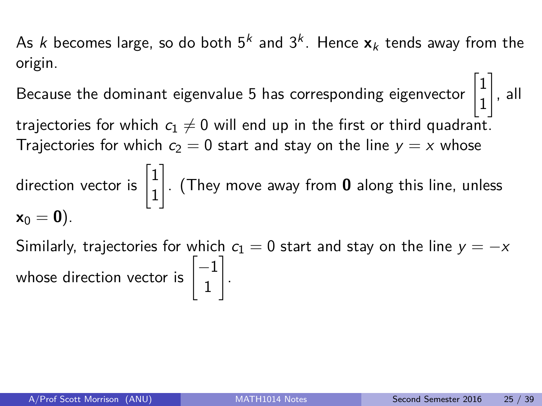Because the dominant eigenvalue 5 has corresponding eigenvector  $\begin{bmatrix} 1 & 1 \\ 1 & 1 \end{bmatrix}$ 1 1

trajectories for which  $c_1 \neq 0$  will end up in the first or third quadrant. Trajectories for which  $c_2 = 0$  start and stay on the line  $y = x$  whose

direction vector is  $\begin{bmatrix} 1 \\ 1 \end{bmatrix}$ 1 1 . (They move away from **0** along this line, unless  $x_0 = 0$ ).

Similarly, trajectories for which  $c_1 = 0$  start and stay on the line  $y = -x$ whose direction vector is  $\begin{bmatrix} -1 \ 1 \end{bmatrix}$ 1 1 .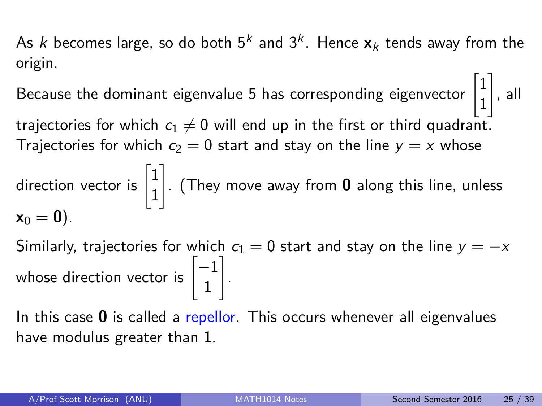Because the dominant eigenvalue 5 has corresponding eigenvector  $\begin{bmatrix} 1 & 1 \\ 1 & 1 \end{bmatrix}$ 1 1

trajectories for which  $c_1 \neq 0$  will end up in the first or third quadrant. Trajectories for which  $c_2 = 0$  start and stay on the line  $y = x$  whose

direction vector is  $\begin{bmatrix} 1 \\ 1 \end{bmatrix}$ 1 1 . (They move away from **0** along this line, unless  $x_0 = 0$ ).

Similarly, trajectories for which  $c_1 = 0$  start and stay on the line  $y = -x$ whose direction vector is  $\begin{bmatrix} -1 \ 1 \end{bmatrix}$ 1 1 .

In this case **0** is called a repellor. This occurs whenever all eigenvalues have modulus greater than 1.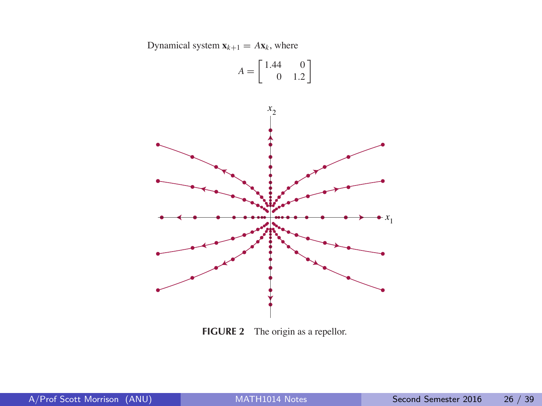Dynamical system  $\mathbf{x}_{k+1} = A\mathbf{x}_k$ , where



**FIGURE 2** The origin as a repellor.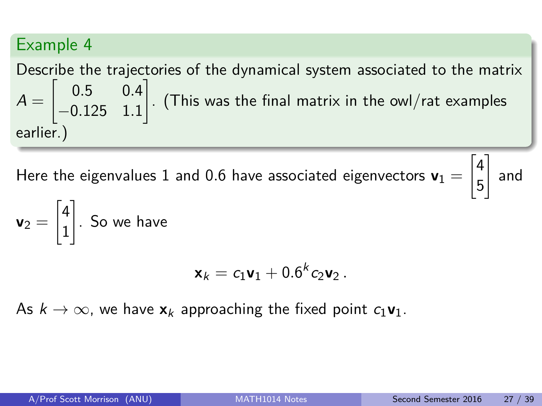Describe the trajectories of the dynamical system associated to the matrix  $A =$  $\begin{bmatrix} 0.5 & 0.4 \end{bmatrix}$ −0*.*125 1*.*1 1 . (This was the final matrix in the owl/rat examples earlier.)

Here the eigenvalues  $1$  and  $0.6$  have associated eigenvectors  $\mathbf{v}_1 =$ 

$$
\begin{bmatrix} 4 \\ 5 \end{bmatrix}
$$
 and

$$
\mathbf{v}_2 = \begin{bmatrix} 4 \\ 1 \end{bmatrix}.
$$
 So we have

$$
\mathbf{x}_k = c_1 \mathbf{v}_1 + 0.6^k c_2 \mathbf{v}_2.
$$

As  $k \to \infty$ , we have  $\mathbf{x}_k$  approaching the fixed point  $c_1 \mathbf{v}_1$ .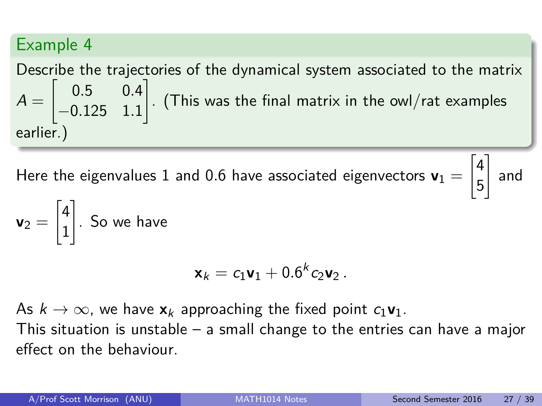Describe the trajectories of the dynamical system associated to the matrix  $A =$  $\begin{bmatrix} 0.5 & 0.4 \end{bmatrix}$ −0*.*125 1*.*1 1 . (This was the final matrix in the owl/rat examples earlier.)

Here the eigenvalues  $1$  and  $0.6$  have associated eigenvectors  $\mathbf{v}_1 =$ 

 $\lceil 4 \rceil$ 5 1 and

$$
\mathbf{v}_2 = \begin{bmatrix} 4 \\ 1 \end{bmatrix}
$$
. So we have

$$
\mathbf{x}_k = c_1 \mathbf{v}_1 + 0.6^k c_2 \mathbf{v}_2.
$$

As  $k \to \infty$ , we have  $\mathbf{x}_k$  approaching the fixed point  $c_1 \mathbf{v}_1$ . This situation is unstable – a small change to the entries can have a major effect on the behaviour.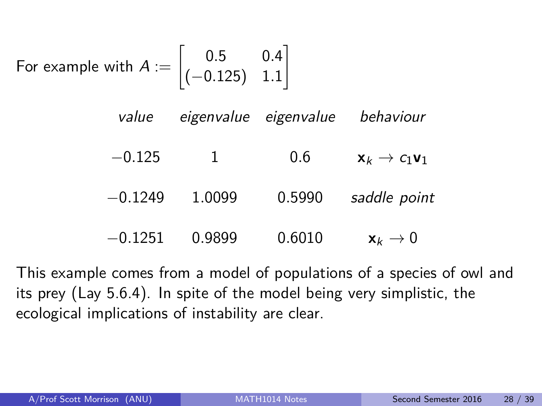For example with 
$$
A := \begin{bmatrix} 0.5 & 0.4 \\ (-0.125) & 1.1 \end{bmatrix}
$$

| value     |              | eigenvalue eigenvalue | behaviour                                   |
|-----------|--------------|-----------------------|---------------------------------------------|
| $-0.125$  | $\mathbf{1}$ | 0.6                   | $\mathbf{x}_k \rightarrow c_1 \mathbf{v}_1$ |
| $-0.1249$ | 1.0099       | 0.5990                | saddle point                                |
| $-0.1251$ | 0.9899       | 0.6010                | $\mathbf{x}_k \rightarrow 0$                |

This example comes from a model of populations of a species of owl and its prey (Lay 5.6.4). In spite of the model being very simplistic, the ecological implications of instability are clear.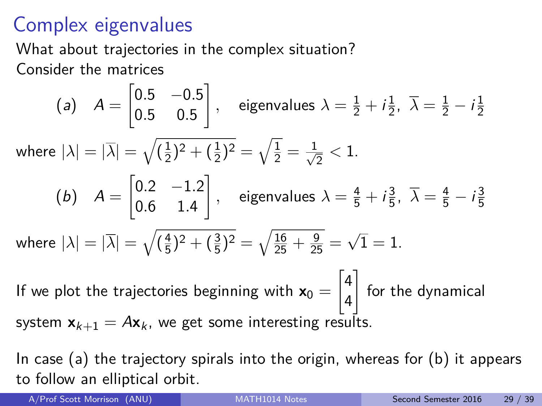# Complex eigenvalues

What about trajectories in the complex situation?

Consider the matrices

(a) 
$$
A = \begin{bmatrix} 0.5 & -0.5 \\ 0.5 & 0.5 \end{bmatrix}
$$
, eigenvalues  $\lambda = \frac{1}{2} + i\frac{1}{2}$ ,  $\overline{\lambda} = \frac{1}{2} - i\frac{1}{2}$   
\nwhere  $|\lambda| = |\overline{\lambda}| = \sqrt{(\frac{1}{2})^2 + (\frac{1}{2})^2} = \sqrt{\frac{1}{2}} = \frac{1}{\sqrt{2}} < 1$ .  
\n(b)  $A = \begin{bmatrix} 0.2 & -1.2 \\ 0.6 & 1.4 \end{bmatrix}$ , eigenvalues  $\lambda = \frac{4}{5} + i\frac{3}{5}$ ,  $\overline{\lambda} = \frac{4}{5} - i\frac{3}{5}$   
\nwhere  $|\lambda| = |\overline{\lambda}| = \sqrt{(\frac{4}{5})^2 + (\frac{3}{5})^2} = \sqrt{\frac{16}{25} + \frac{9}{25}} = \sqrt{1} = 1$ .

If we plot the trajectories beginning with  $x_0 =$  $\lceil 4 \rceil$ 4  $\mathbb{I}$ for the dynamical system  $x_{k+1} = Ax_k$ , we get some interesting results.

In case  $(a)$  the trajectory spirals into the origin, whereas for  $(b)$  it appears to follow an elliptical orbit.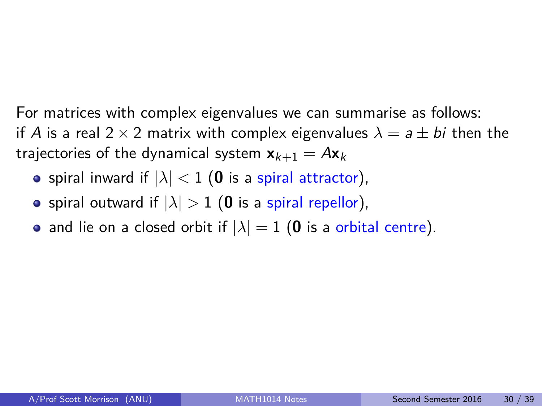For matrices with complex eigenvalues we can summarise as follows: if A is a real 2  $\times$  2 matrix with complex eigenvalues  $\lambda = a \pm bi$  then the trajectories of the dynamical system  $x_{k+1} = Ax_k$ 

- spiral inward if  $|\lambda| < 1$  (0 is a spiral attractor),
- spiral outward if  $|\lambda| > 1$  (0 is a spiral repellor),
- and lie on a closed orbit if  $|\lambda| = 1$  (0 is a orbital centre).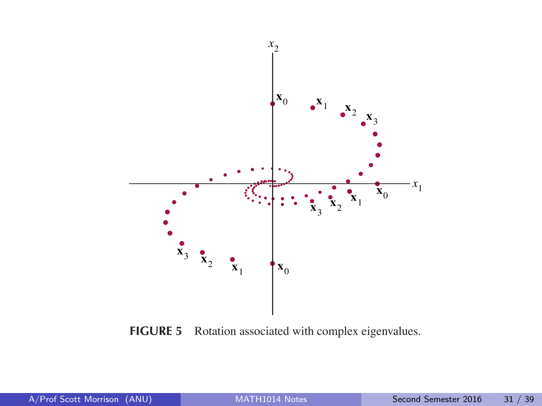

**FIGURE 5** Rotation associated with complex eigenvalues.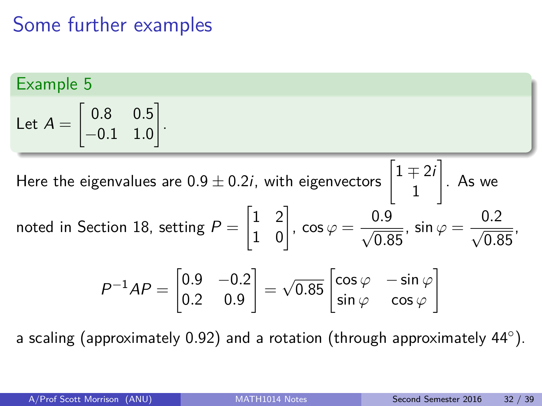# Some further examples

1 .

Example 5  
Let 
$$
A = \begin{bmatrix} 0.8 & 0.5 \\ -0.1 & 1.0 \end{bmatrix}
$$

Here the eigenvalues are 0.9  $\pm$  0.2*i*, with eigenvectors  $\begin{bmatrix} 1 \mp 2i \ 1 \end{bmatrix}$ 1 1 . As we noted in Section 18, setting  $P =$  $\begin{bmatrix} 1 & 2 \\ 1 & 0 \end{bmatrix}$ ,  $\cos \varphi = \frac{0.9}{\sqrt{0.8}}$ 0*.*85  $\phi$ , sin  $\varphi = \frac{0.2}{\sqrt{2.2}}$ 0*.*85 ,  $P^{-1}AP = \begin{bmatrix} 0.9 & -0.2 \\ 0.3 & 0.9 \end{bmatrix}$ 0*.*2 0*.*9 1 =  $\sqrt{0.85}$   $\begin{bmatrix} \cos \varphi & -\sin \varphi \\ \sin \varphi & \cos \varphi \end{bmatrix}$ sin *ϕ* cos *ϕ* 1

a scaling (approximately 0.92) and a rotation (through approximately 44°).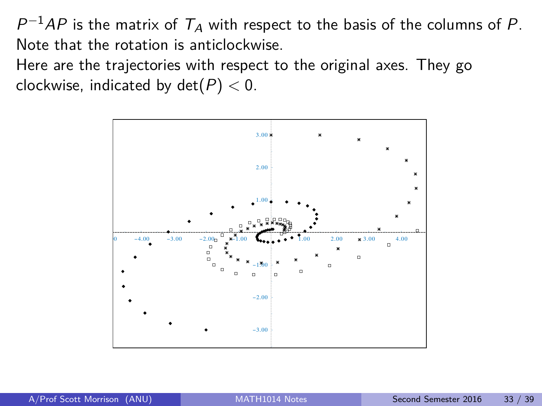$P^{-1}AP$  is the matrix of  $T_A$  with respect to the basis of the columns of P. Note that the rotation is anticlockwise.

Here are the trajectories with respect to the original axes. They go clockwise, indicated by det(P) *<* 0.

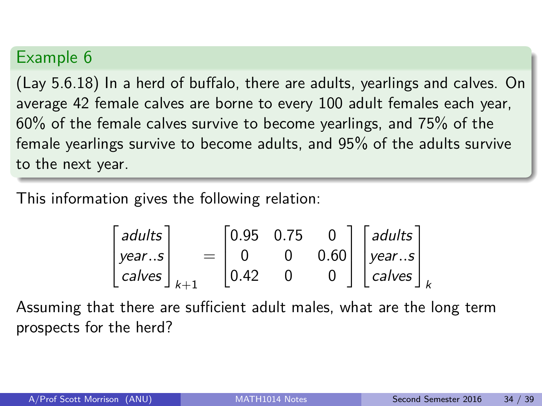(Lay 5.6.18) In a herd of buffalo, there are adults, yearlings and calves. On average 42 female calves are borne to every 100 adult females each year, 60% of the female calves survive to become yearlings, and 75% of the female yearlings survive to become adults, and 95% of the adults survive to the next year.

This information gives the following relation:

$$
\begin{bmatrix} adults \\ year..s \\ calves \end{bmatrix}_{k+1} = \begin{bmatrix} 0.95 & 0.75 & 0 \\ 0 & 0 & 0.60 \\ 0.42 & 0 & 0 \end{bmatrix} \begin{bmatrix} adults \\ year..s \\ calves \end{bmatrix}_{k}
$$

Assuming that there are sufficient adult males, what are the long term prospects for the herd?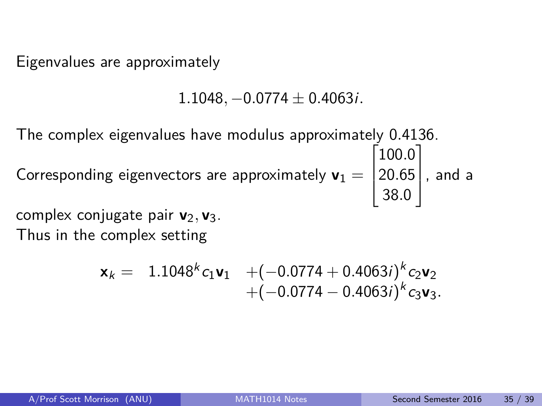Eigenvalues are approximately

1*.*1048*,* −0*.*0774 ± 0*.*4063i*.*

The complex eigenvalues have modulus approximately 0*.*4136. Corresponding eigenvectors are approximately  $\mathbf{v}_1 =$  $\sqrt{ }$  $\overline{\phantom{a}}$ 100*.*0 20*.*65 38*.*0 1 , and a

complex conjugate pair **v**<sub>2</sub>, **v**<sub>3</sub>.

Thus in the complex setting

$$
\mathbf{x}_{k} = 1.1048^{k} c_{1} \mathbf{v}_{1} + (-0.0774 + 0.4063i)^{k} c_{2} \mathbf{v}_{2} + (-0.0774 - 0.4063i)^{k} c_{3} \mathbf{v}_{3}.
$$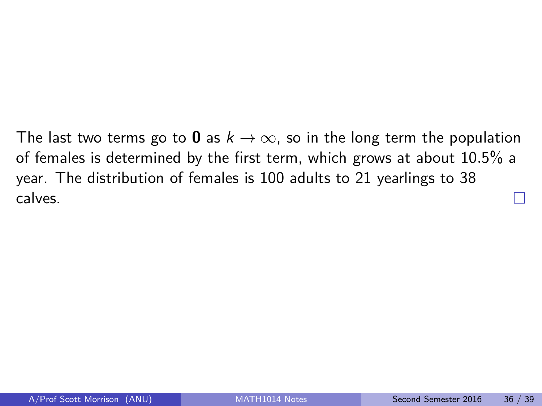The last two terms go to **0** as  $k \to \infty$ , so in the long term the population of females is determined by the first term, which grows at about 10*.*5% a year. The distribution of females is 100 adults to 21 yearlings to 38 calves.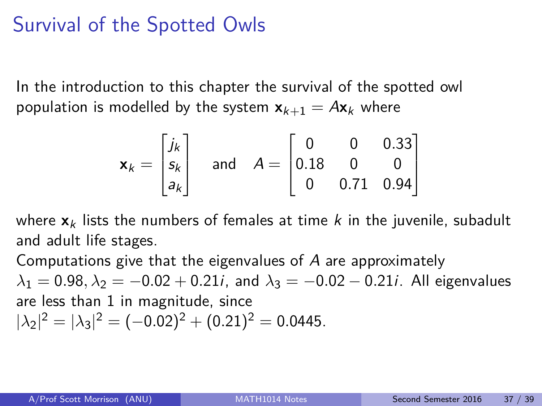# Survival of the Spotted Owls

In the introduction to this chapter the survival of the spotted owl population is modelled by the system  $x_{k+1} = Ax_k$  where

$$
\mathbf{x}_{k} = \begin{bmatrix} j_{k} \\ s_{k} \\ a_{k} \end{bmatrix} \text{ and } A = \begin{bmatrix} 0 & 0 & 0.33 \\ 0.18 & 0 & 0 \\ 0 & 0.71 & 0.94 \end{bmatrix}
$$

where  $x_k$  lists the numbers of females at time k in the juvenile, subadult and adult life stages.

Computations give that the eigenvalues of  $A$  are approximately  $\lambda_1 = 0.98, \lambda_2 = -0.02 + 0.21i$ , and  $\lambda_3 = -0.02 - 0.21i$ . All eigenvalues are less than 1 in magnitude, since  $|\lambda_2|^2 = |\lambda_3|^2 = (-0.02)^2 + (0.21)^2 = 0.0445.$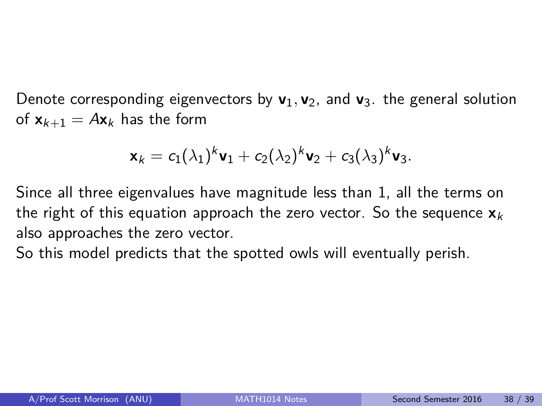Denote corresponding eigenvectors by  $\mathbf{v}_1, \mathbf{v}_2$ , and  $\mathbf{v}_3$ , the general solution of  $x_{k+1} = Ax_k$  has the form

$$
\mathbf{x}_k = c_1(\lambda_1)^k \mathbf{v}_1 + c_2(\lambda_2)^k \mathbf{v}_2 + c_3(\lambda_3)^k \mathbf{v}_3.
$$

Since all three eigenvalues have magnitude less than 1, all the terms on the right of this equation approach the zero vector. So the sequence  $\mathbf{x}_k$ also approaches the zero vector.

So this model predicts that the spotted owls will eventually perish.